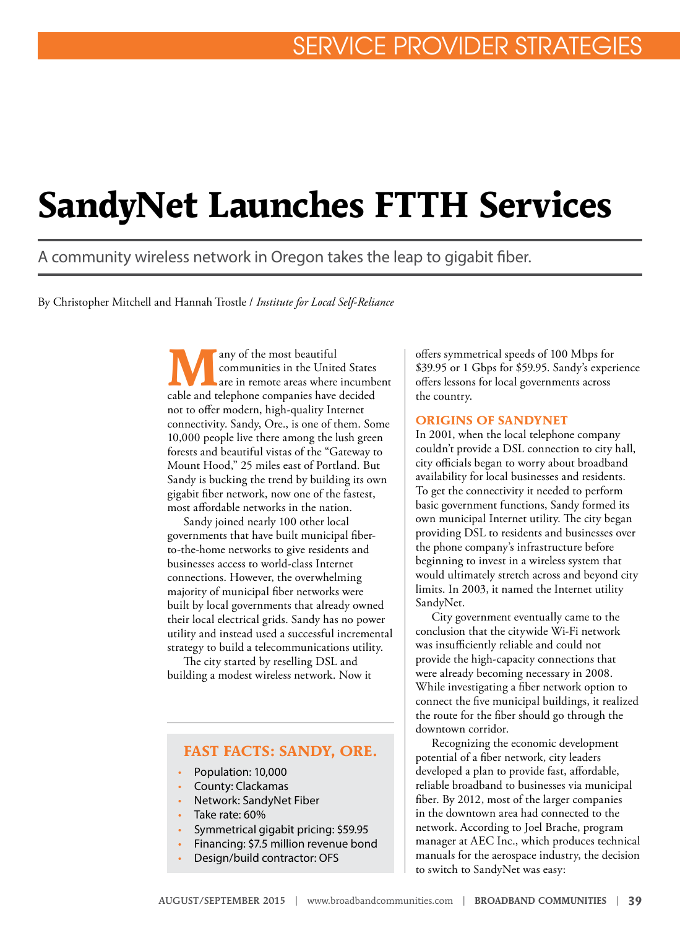# **SandyNet Launches FTTH Services**

A community wireless network in Oregon takes the leap to gigabit fiber.

By Christopher Mitchell and Hannah Trostle / *Institute for Local Self-Reliance*

**M**<br>
any of the most beautiful<br>
communities in the United States<br>
are in remote areas where incumbent<br>
and telephone communice have desided communities in the United States cable and telephone companies have decided not to offer modern, high-quality Internet connectivity. Sandy, Ore., is one of them. Some 10,000 people live there among the lush green forests and beautiful vistas of the "Gateway to Mount Hood," 25 miles east of Portland. But Sandy is bucking the trend by building its own gigabit fiber network, now one of the fastest, most affordable networks in the nation.

Sandy joined nearly 100 other local governments that have built municipal fiberto-the-home networks to give residents and businesses access to world-class Internet connections. However, the overwhelming majority of municipal fiber networks were built by local governments that already owned their local electrical grids. Sandy has no power utility and instead used a successful incremental strategy to build a telecommunications utility.

The city started by reselling DSL and building a modest wireless network. Now it

### **FAST FACTS: SANDY, ORE.**

- Population: 10,000
- County: Clackamas
- Network: SandyNet Fiber
- Take rate: 60%
- Symmetrical gigabit pricing: \$59.95
- Financing: \$7.5 million revenue bond
- Design/build contractor: OFS

offers symmetrical speeds of 100 Mbps for \$39.95 or 1 Gbps for \$59.95. Sandy's experience offers lessons for local governments across the country.

#### **ORIGINS OF SANDYNET**

In 2001, when the local telephone company couldn't provide a DSL connection to city hall, city officials began to worry about broadband availability for local businesses and residents. To get the connectivity it needed to perform basic government functions, Sandy formed its own municipal Internet utility. The city began providing DSL to residents and businesses over the phone company's infrastructure before beginning to invest in a wireless system that would ultimately stretch across and beyond city limits. In 2003, it named the Internet utility SandyNet.

City government eventually came to the conclusion that the citywide Wi-Fi network was insufficiently reliable and could not provide the high-capacity connections that were already becoming necessary in 2008. While investigating a fiber network option to connect the five municipal buildings, it realized the route for the fiber should go through the downtown corridor.

Recognizing the economic development potential of a fiber network, city leaders developed a plan to provide fast, affordable, reliable broadband to businesses via municipal fiber. By 2012, most of the larger companies in the downtown area had connected to the network. According to Joel Brache, program manager at AEC Inc., which produces technical manuals for the aerospace industry, the decision to switch to SandyNet was easy: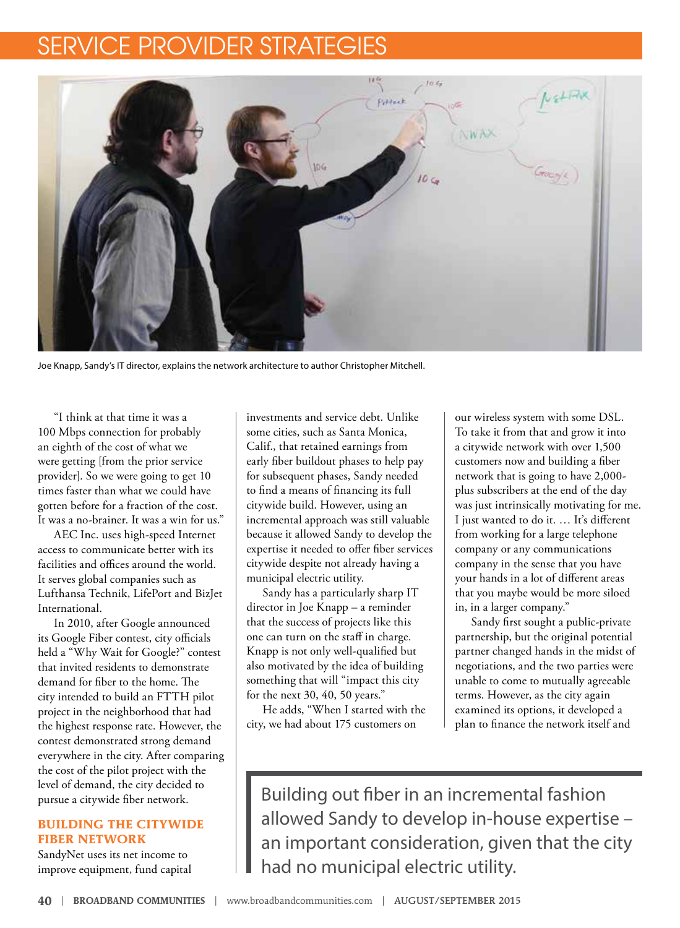## SERVICE PROVIDER STRATEGIE



Joe Knapp, Sandy's IT director, explains the network architecture to author Christopher Mitchell.

"I think at that time it was a 100 Mbps connection for probably an eighth of the cost of what we were getting [from the prior service provider]. So we were going to get 10 times faster than what we could have gotten before for a fraction of the cost. It was a no-brainer. It was a win for us."

AEC Inc. uses high-speed Internet access to communicate better with its facilities and offices around the world. It serves global companies such as Lufthansa Technik, LifePort and BizJet International.

In 2010, after Google announced its Google Fiber contest, city officials held a "Why Wait for Google?" contest that invited residents to demonstrate demand for fiber to the home. The city intended to build an FTTH pilot project in the neighborhood that had the highest response rate. However, the contest demonstrated strong demand everywhere in the city. After comparing the cost of the pilot project with the level of demand, the city decided to pursue a citywide fiber network.

### **BUILDING THE CITYWIDE FIBER NETWORK**

SandyNet uses its net income to improve equipment, fund capital investments and service debt. Unlike some cities, such as Santa Monica, Calif., that retained earnings from early fiber buildout phases to help pay for subsequent phases, Sandy needed to find a means of financing its full citywide build. However, using an incremental approach was still valuable because it allowed Sandy to develop the expertise it needed to offer fiber services citywide despite not already having a municipal electric utility.

Sandy has a particularly sharp IT director in Joe Knapp – a reminder that the success of projects like this one can turn on the staff in charge. Knapp is not only well-qualified but also motivated by the idea of building something that will "impact this city for the next 30, 40, 50 years."

He adds, "When I started with the city, we had about 175 customers on

our wireless system with some DSL. To take it from that and grow it into a citywide network with over 1,500 customers now and building a fiber network that is going to have 2,000 plus subscribers at the end of the day was just intrinsically motivating for me. I just wanted to do it. … It's different from working for a large telephone company or any communications company in the sense that you have your hands in a lot of different areas that you maybe would be more siloed in, in a larger company."

Sandy first sought a public-private partnership, but the original potential partner changed hands in the midst of negotiations, and the two parties were unable to come to mutually agreeable terms. However, as the city again examined its options, it developed a plan to finance the network itself and

Building out fiber in an incremental fashion allowed Sandy to develop in-house expertise – an important consideration, given that the city had no municipal electric utility.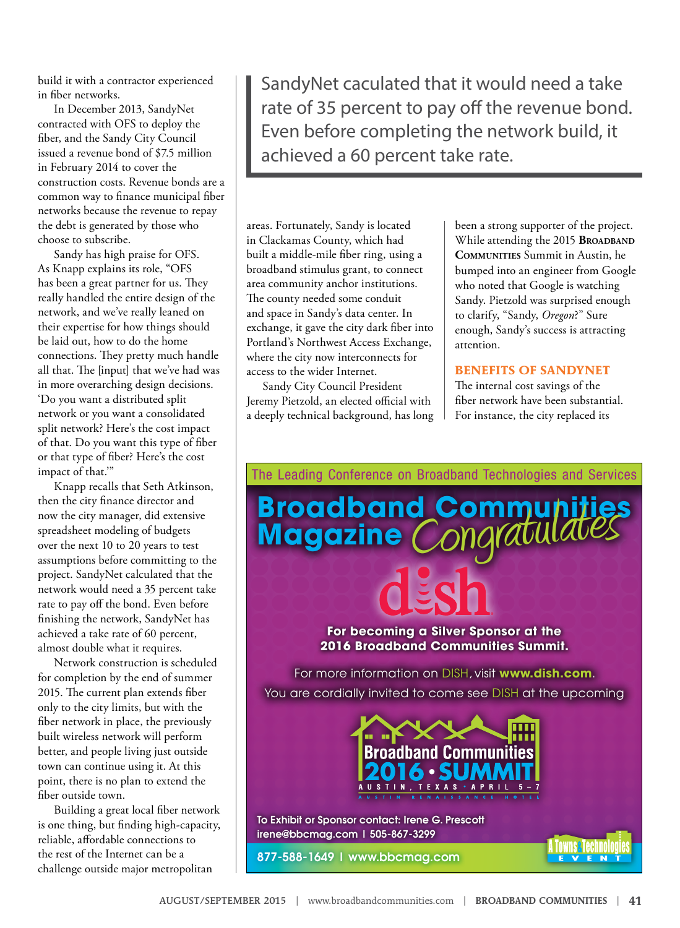build it with a contractor experienced in fiber networks.

In December 2013, SandyNet contracted with OFS to deploy the fiber, and the Sandy City Council issued a revenue bond of \$7.5 million in February 2014 to cover the construction costs. Revenue bonds are a common way to finance municipal fiber networks because the revenue to repay the debt is generated by those who choose to subscribe.

Sandy has high praise for OFS. As Knapp explains its role, "OFS has been a great partner for us. They really handled the entire design of the network, and we've really leaned on their expertise for how things should be laid out, how to do the home connections. They pretty much handle all that. The [input] that we've had was in more overarching design decisions. 'Do you want a distributed split network or you want a consolidated split network? Here's the cost impact of that. Do you want this type of fiber or that type of fiber? Here's the cost impact of that.'"

Knapp recalls that Seth Atkinson, then the city finance director and now the city manager, did extensive spreadsheet modeling of budgets over the next 10 to 20 years to test assumptions before committing to the project. SandyNet calculated that the network would need a 35 percent take rate to pay off the bond. Even before finishing the network, SandyNet has achieved a take rate of 60 percent, almost double what it requires.

Network construction is scheduled for completion by the end of summer 2015. The current plan extends fiber only to the city limits, but with the fiber network in place, the previously built wireless network will perform better, and people living just outside town can continue using it. At this point, there is no plan to extend the fiber outside town.

Building a great local fiber network is one thing, but finding high-capacity, reliable, affordable connections to the rest of the Internet can be a challenge outside major metropolitan

SandyNet caculated that it would need a take rate of 35 percent to pay off the revenue bond. Even before completing the network build, it achieved a 60 percent take rate.

areas. Fortunately, Sandy is located in Clackamas County, which had built a middle-mile fiber ring, using a broadband stimulus grant, to connect area community anchor institutions. The county needed some conduit and space in Sandy's data center. In exchange, it gave the city dark fiber into Portland's Northwest Access Exchange, where the city now interconnects for access to the wider Internet.

Sandy City Council President Jeremy Pietzold, an elected official with a deeply technical background, has long been a strong supporter of the project. While attending the 2015 **BROADBAND Communities** Summit in Austin, he bumped into an engineer from Google who noted that Google is watching Sandy. Pietzold was surprised enough to clarify, "Sandy, *Oregon*?" Sure enough, Sandy's success is attracting attention.

#### **BENEFITS OF SANDYNET**

The internal cost savings of the fiber network have been substantial. For instance, the city replaced its